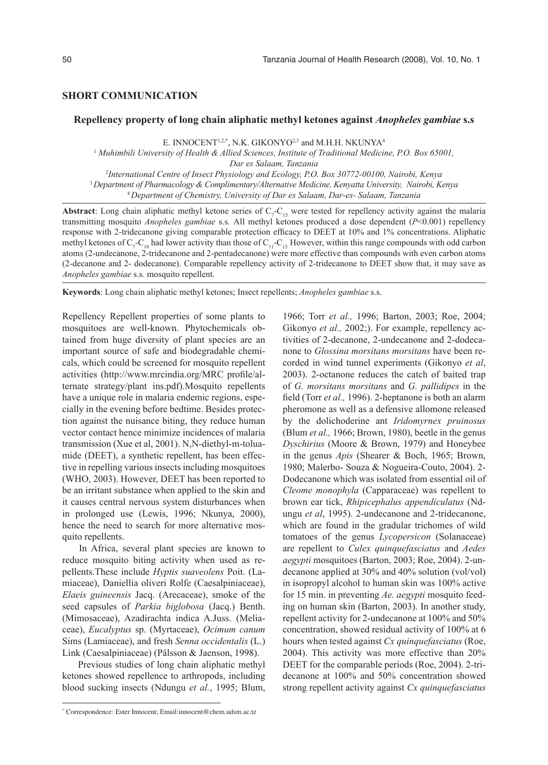## **SHORT COMMUNICATION**

### **Repellency property of long chain aliphatic methyl ketones against** *Anopheles gambiae* **s.s**

E. INNOCENT<sup>1,2,\*</sup>, N.K. GIKONYO<sup>2,3</sup> and M.H.H. NKUNYA<sup>4</sup>

1  *Muhimbili University of Health & Allied Sciences, Institute of Traditional Medicine, P.O. Box 65001, Dar es Salaam, Tanzania*

2 *International Centre of Insect Physiology and Ecology, P.O. Box 30772-00100, Nairobi, Kenya* <sup>3</sup>*Department of Pharmacology & Complimentary/Alternative Medicine, Kenyatta University, Nairobi, Kenya* <sup>4</sup> *Department of Chemistry, University of Dar es Salaam, Dar-es- Salaam, Tanzania*

**Abstract**: Long chain aliphatic methyl ketone series of  $C_7$ - $C_{15}$  were tested for repellency activity against the malaria transmitting mosquito *Anopheles gambiae* s.s*.* All methyl ketones produced a dose dependent (*P*<0.001) repellency response with 2-tridecanone giving comparable protection efficacy to DEET at 10% and 1% concentrations. Aliphatic methyl ketones of  $C_7 - C_{10}$  had lower activity than those of  $C_{11} - C_{15}$ . However, within this range compounds with odd carbon atoms (2-undecanone, 2-tridecanone and 2-pentadecanone) were more effective than compounds with even carbon atoms (2-decanone and 2- dodecanone). Comparable repellency activity of 2-tridecanone to DEET show that, it may save as *Anopheles gambiae* s.s*.* mosquito repellent.

**Keywords**: Long chain aliphatic methyl ketones; Insect repellents; *Anopheles gambiae* s.s.

Repellency Repellent properties of some plants to mosquitoes are well-known. Phytochemicals obtained from huge diversity of plant species are an important source of safe and biodegradable chemicals, which could be screened for mosquito repellent activities (http://www.mrcindia.org/MRC profile/alternate strategy/plant ins.pdf).Mosquito repellents have a unique role in malaria endemic regions, especially in the evening before bedtime. Besides protection against the nuisance biting, they reduce human vector contact hence minimize incidences of malaria transmission (Xue et al, 2001). N,N-diethyl-m-toluamide (DEET), a synthetic repellent, has been effective in repelling various insects including mosquitoes (WHO, 2003). However, DEET has been reported to be an irritant substance when applied to the skin and it causes central nervous system disturbances when in prolonged use (Lewis, 1996; Nkunya, 2000), hence the need to search for more alternative mosquito repellents.

In Africa, several plant species are known to reduce mosquito biting activity when used as repellents.These include *Hyptis suaveolens* Poit. (Lamiaceae), Daniellia oliveri Rolfe (Caesalpiniaceae), *Elaeis guineensis* Jacq. (Arecaceae), smoke of the seed capsules of *Parkia biglobosa* (Jacq.) Benth. (Mimosaceae), Azadirachta indica A.Juss. (Meliaceae), *Eucalyptus* sp. (Myrtaceae), *Ocimum canum*  Sims (Lamiaceae), and fresh *Senna occidentalis* (L.) Link (Caesalpiniaceae) (Pålsson & Jaenson, 1998).

Previous studies of long chain aliphatic methyl ketones showed repellence to arthropods, including blood sucking insects (Ndungu *et al.*, 1995; Blum,

1966; Torr *et al.,* 1996; Barton, 2003; Roe, 2004; Gikonyo *et al.*, 2002;). For example, repellency activities of 2-decanone, 2-undecanone and 2-dodecanone to *Glossina morsitans morsitans* have been recorded in wind tunnel experiments (Gikonyo *et al*, 2003). 2-octanone reduces the catch of baited trap of *G. morsitans morsitans* and *G. pallidipes* in the field (Torr *et al.,* 1996). 2-heptanone is both an alarm pheromone as well as a defensive allomone released by the dolichoderine ant *Iridomyrnex pruinosus* (Blum *et al.,* 1966; Brown, 1980), beetle in the genus *Dyschirius* (Moore & Brown, 1979) and Honeybee in the genus *Apis* (Shearer & Boch, 1965; Brown, 1980; Malerbo- Souza & Nogueira-Couto, 2004). 2- Dodecanone which was isolated from essential oil of *Cleome monophyla* (Capparaceae) was repellent to brown ear tick, *Rhipicephalus appendiculatus* (Ndungu *et al*, 1995). 2-undecanone and 2-tridecanone, which are found in the gradular trichomes of wild tomatoes of the genus *Lycopersicon* (Solanaceae) are repellent to *Culex quinquefasciatus* and *Aedes aegypti* mosquitoes (Barton, 2003; Roe, 2004). 2-undecanone applied at 30% and 40% solution (vol/vol) in isopropyl alcohol to human skin was 100% active for 15 min. in preventing *Ae. aegypti* mosquito feeding on human skin (Barton, 2003). In another study, repellent activity for 2-undecanone at 100% and 50% concentration, showed residual activity of 100% at 6 hours when tested against *Cx quinquefasciatus* (Roe, 2004). This activity was more effective than 20% DEET for the comparable periods (Roe, 2004). 2-tridecanone at 100% and 50% concentration showed strong repellent activity against *Cx quinquefasciatus*

<sup>\*</sup> Correspondence: Ester Innocent; Email:innocent@chem.udsm.ac.tz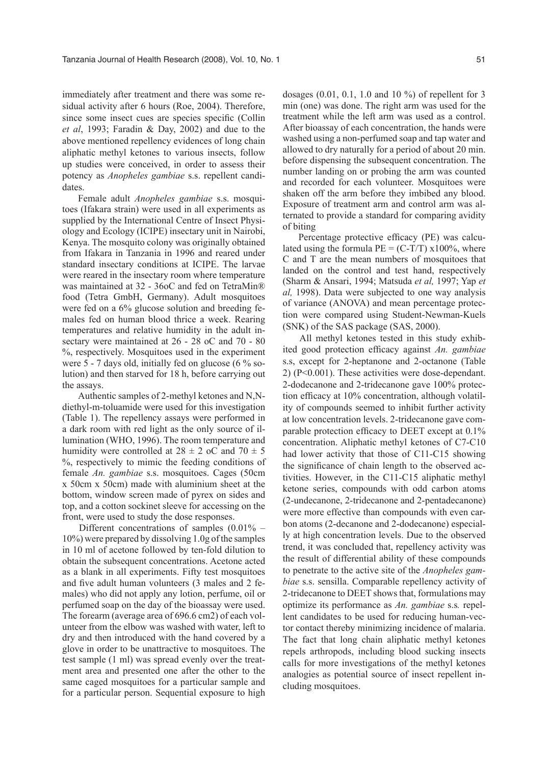immediately after treatment and there was some residual activity after 6 hours (Roe, 2004). Therefore, since some insect cues are species specific (Collin *et al*, 1993; Faradin & Day, 2002) and due to the above mentioned repellency evidences of long chain aliphatic methyl ketones to various insects, follow up studies were conceived, in order to assess their potency as *Anopheles gambiae* s.s. repellent candidates.

Female adult *Anopheles gambiae* s.s. mosquitoes (Ifakara strain) were used in all experiments as supplied by the International Centre of Insect Physiology and Ecology (ICIPE) insectary unit in Nairobi, Kenya. The mosquito colony was originally obtained from Ifakara in Tanzania in 1996 and reared under standard insectary conditions at ICIPE. The larvae were reared in the insectary room where temperature was maintained at 32 - 36oC and fed on TetraMin® food (Tetra GmbH, Germany). Adult mosquitoes were fed on a 6% glucose solution and breeding females fed on human blood thrice a week. Rearing temperatures and relative humidity in the adult insectary were maintained at 26 - 28 oC and 70 - 80 %, respectively. Mosquitoes used in the experiment were 5 - 7 days old, initially fed on glucose (6 % solution) and then starved for 18 h, before carrying out the assays.

Authentic samples of 2-methyl ketones and N,Ndiethyl-m-toluamide were used for this investigation (Table 1). The repellency assays were performed in a dark room with red light as the only source of illumination (WHO, 1996). The room temperature and humidity were controlled at  $28 \pm 2$  oC and  $70 \pm 5$ %, respectively to mimic the feeding conditions of female *An. gambiae* s.s. mosquitoes. Cages (50cm x 50cm x 50cm) made with aluminium sheet at the bottom, window screen made of pyrex on sides and top, and a cotton sockinet sleeve for accessing on the front, were used to study the dose responses.

Different concentrations of samples (0.01% – 10%) were prepared by dissolving 1.0g of the samples in 10 ml of acetone followed by ten-fold dilution to obtain the subsequent concentrations. Acetone acted as a blank in all experiments. Fifty test mosquitoes and five adult human volunteers (3 males and 2 females) who did not apply any lotion, perfume, oil or perfumed soap on the day of the bioassay were used. The forearm (average area of 696.6 cm2) of each volunteer from the elbow was washed with water, left to dry and then introduced with the hand covered by a glove in order to be unattractive to mosquitoes. The test sample (1 ml) was spread evenly over the treatment area and presented one after the other to the same caged mosquitoes for a particular sample and for a particular person. Sequential exposure to high dosages  $(0.01, 0.1, 1.0, 1.0, 10, 9)$  of repellent for 3 min (one) was done. The right arm was used for the treatment while the left arm was used as a control. After bioassay of each concentration, the hands were washed using a non-perfumed soap and tap water and allowed to dry naturally for a period of about 20 min. before dispensing the subsequent concentration. The number landing on or probing the arm was counted and recorded for each volunteer. Mosquitoes were shaken off the arm before they imbibed any blood. Exposure of treatment arm and control arm was alternated to provide a standard for comparing avidity of biting

Percentage protective efficacy (PE) was calculated using the formula  $PE = (C-T/T) \times 100\%$ , where C and T are the mean numbers of mosquitoes that landed on the control and test hand, respectively (Sharm & Ansari, 1994; Matsuda *et al,* 1997; Yap *et al,* 1998). Data were subjected to one way analysis of variance (ANOVA) and mean percentage protection were compared using Student-Newman-Kuels (SNK) of the SAS package (SAS, 2000).

All methyl ketones tested in this study exhibited good protection efficacy against *An. gambiae*  s.s, except for 2-heptanone and 2-octanone (Table 2) (P<0.001). These activities were dose-dependant. 2-dodecanone and 2-tridecanone gave 100% protection efficacy at 10% concentration, although volatility of compounds seemed to inhibit further activity at low concentration levels. 2-tridecanone gave comparable protection efficacy to DEET except at 0.1% concentration. Aliphatic methyl ketones of C7-C10 had lower activity that those of C11-C15 showing the significance of chain length to the observed activities. However, in the C11-C15 aliphatic methyl ketone series, compounds with odd carbon atoms (2-undecanone, 2-tridecanone and 2-pentadecanone) were more effective than compounds with even carbon atoms (2-decanone and 2-dodecanone) especially at high concentration levels. Due to the observed trend, it was concluded that, repellency activity was the result of differential ability of these compounds to penetrate to the active site of the *Anopheles gambiae* s.s. sensilla. Comparable repellency activity of 2-tridecanone to DEET shows that, formulations may optimize its performance as *An. gambiae* s.s*.* repellent candidates to be used for reducing human-vector contact thereby minimizing incidence of malaria. The fact that long chain aliphatic methyl ketones repels arthropods, including blood sucking insects calls for more investigations of the methyl ketones analogies as potential source of insect repellent including mosquitoes.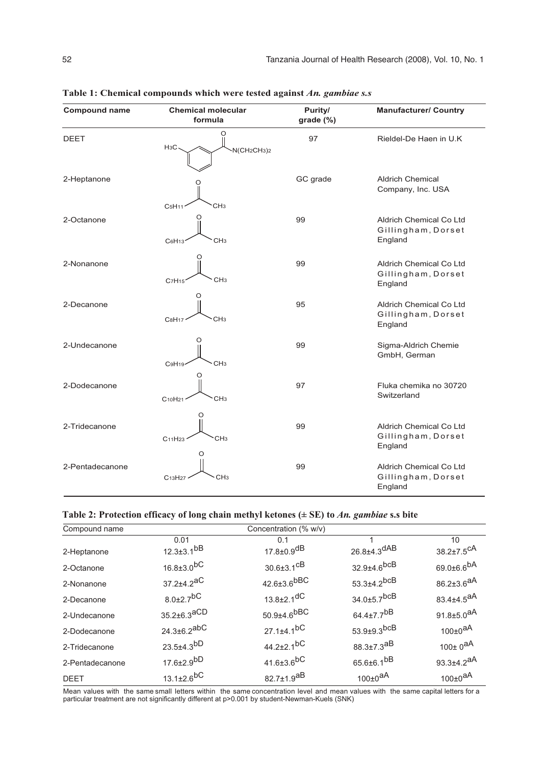| <b>Compound name</b> | <b>Chemical molecular</b><br>formula                                      | Purity/<br>grade (%) | <b>Manufacturer/ Country</b><br>Rieldel-De Haen in U.K   |  |
|----------------------|---------------------------------------------------------------------------|----------------------|----------------------------------------------------------|--|
| <b>DEET</b>          | O<br>H <sub>3</sub> C<br>N(CH <sub>2</sub> CH <sub>3</sub> ) <sub>2</sub> | 97                   |                                                          |  |
| 2-Heptanone          | C <sub>5</sub> H <sub>11</sub><br>CH <sub>3</sub>                         | GC grade             | <b>Aldrich Chemical</b><br>Company, Inc. USA             |  |
| 2-Octanone           | O<br>CH <sub>3</sub><br>C6H13                                             | 99                   | Aldrich Chemical Co Ltd<br>Gillingham, Dorset<br>England |  |
| 2-Nonanone           | CH <sub>3</sub><br>C7H15                                                  | 99                   | Aldrich Chemical Co Ltd<br>Gillingham, Dorset<br>England |  |
| 2-Decanone           | റ<br>CH <sub>3</sub><br>C8H17                                             | 95                   | Aldrich Chemical Co Ltd<br>Gillingham, Dorset<br>England |  |
| 2-Undecanone         | O<br>CH <sub>3</sub><br>C9H19                                             | 99                   | Sigma-Aldrich Chemie<br>GmbH, German                     |  |
| 2-Dodecanone         | O<br>CH <sub>3</sub><br>C <sub>10</sub> H <sub>21</sub>                   | 97                   | Fluka chemika no 30720<br>Switzerland                    |  |
| 2-Tridecanone        | 〔 〕<br>CH <sub>3</sub><br>C <sub>11</sub> H <sub>23</sub><br>O            | 99                   | Aldrich Chemical Co Ltd<br>Gillingham, Dorset<br>England |  |
| 2-Pentadecanone      | CH <sub>3</sub><br>C <sub>13</sub> H <sub>27</sub>                        | 99                   | Aldrich Chemical Co Ltd<br>Gillingham, Dorset<br>England |  |

**Table 1: Chemical compounds which were tested against** *An. gambiae s.s*

# **Table 2: Protection efficacy of long chain methyl ketones (± SE) to** *An. gambiae* **s.s bite**

| Compound name   | Concentration (% w/v)        |                              |                               |                              |  |
|-----------------|------------------------------|------------------------------|-------------------------------|------------------------------|--|
|                 | 0.01                         | 0.1                          |                               | 10                           |  |
| 2-Heptanone     | $12.3 \pm 3.1$ <sup>bB</sup> | $17.8 \pm 0.9$ <sup>dB</sup> | $26.8 \pm 4.3$ <sup>dAB</sup> | $38.2 \pm 7.5^{\text{CA}}$   |  |
| 2-Octanone      | $16.8{\pm}3.0^{bC}$          | $30.6 \pm 3.1$ <sup>CB</sup> | $32.9{\pm}4.6^{bcB}$          | 69.0 $\pm$ 6.6 $^{bA}$       |  |
| 2-Nonanone      | 37.2±4.2 <sup>aC</sup>       | $42.6{\pm}3.6^{\text{bBC}}$  | $53.3{\pm}4.2^{bcB}$          | 86.2 $\pm$ 3.6 <sup>aA</sup> |  |
| 2-Decanone      | $8.0 \pm 2.7$ <sup>bC</sup>  | $13.8 \pm 2.1$ <sup>dC</sup> | $34.0 \pm 5.7$ <sup>bcB</sup> | 83.4±4.5 <sup>aA</sup>       |  |
| 2-Undecanone    | $35.2\pm6.3$ aCD             | $50.9{\pm}4.6^{bBC}$         | 64.4 $\pm$ 7.7 <sup>bB</sup>  | 91.8 $\pm$ 5.0 <sup>aA</sup> |  |
| 2-Dodecanone    | $24.3 \pm 6.2$ abC           | $27.1 \pm 4.1$ <sup>bC</sup> | $53.9{\pm}9.3^{\text{bcB}}$   | 100±0 <sup>aA</sup>          |  |
| 2-Tridecanone   | $23.5 \pm 4.3^{bD}$          | $44.2 \pm 2.1$ <sup>bC</sup> | 88.3±7.3 <sup>aB</sup>        | 100 $\pm$ 0 <sup>aA</sup>    |  |
| 2-Pentadecanone | $17.6{\pm}2.9^{bD}$          | $41.6{\pm}3.6^{bC}$          | $65.6{\pm}6.1^{bB}$           | 93.3 $\pm$ 4.2 <sup>aA</sup> |  |
| <b>DEET</b>     | $13.1 \pm 2.6^{bC}$          | 82.7 $\pm$ 1.9 $^{AB}$       | $100\pm0^{aA}$                | 100 $\pm 0^{\text{aA}}$      |  |

Mean values with the same small letters within the same concentration level and mean values with the same capital letters for a particular treatment are not significantly different at p>0.001 by student-Newman-Kuels (SNK)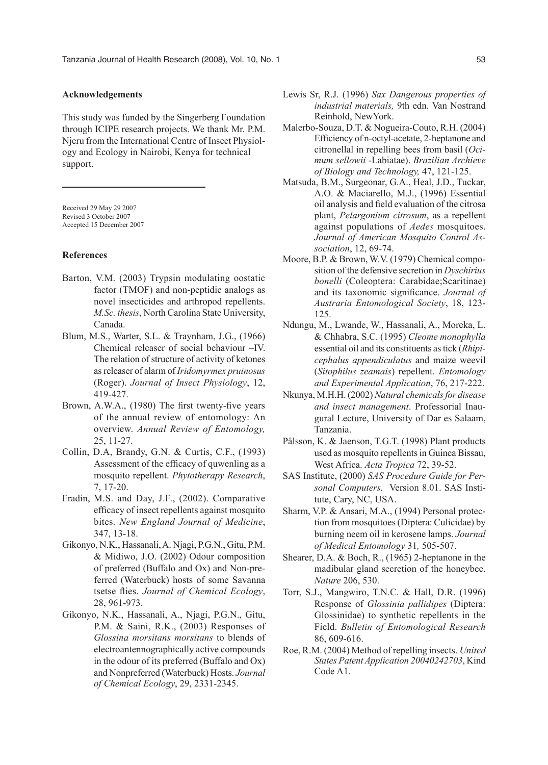## **Acknowledgements**

This study was funded by the Singerberg Foundation through ICIPE research projects. We thank Mr. P.M. Njeru from the International Centre of Insect Physiology and Ecology in Nairobi, Kenya for technical support.

Received 29 May 29 2007 Revised 3 October 2007 Accepted 15 December 2007

#### **References**

- Barton, V.M. (2003) Trypsin modulating oostatic factor (TMOF) and non-peptidic analogs as novel insecticides and arthropod repellents. *M.Sc. thesis*, North Carolina State University, Canada.
- Blum, M.S., Warter, S.L. & Traynham, J.G., (1966) Chemical releaser of social behaviour –IV. The relation of structure of activity of ketones as releaser of alarm of *Iridomyrmex pruinosus*  (Roger). *Journal of Insect Physiology*, 12, 419-427.
- Brown, A.W.A., (1980) The first twenty-five years of the annual review of entomology: An overview. *Annual Review of Entomology,*  25, 11-27.
- Collin, D.A, Brandy, G.N. & Curtis, C.F., (1993) Assessment of the efficacy of quwenling as a mosquito repellent. *Phytotherapy Research*, 7, 17-20.
- Fradin, M.S. and Day, J.F., (2002). Comparative efficacy of insect repellents against mosquito bites. *New England Journal of Medicine*, 347, 13-18.
- Gikonyo, N.K., Hassanali, A. Njagi, P.G.N., Gitu, P.M. & Midiwo, J.O. (2002) Odour composition of preferred (Buffalo and Ox) and Non-preferred (Waterbuck) hosts of some Savanna tsetse flies. *Journal of Chemical Ecology*, 28, 961-973.
- Gikonyo, N.K., Hassanali, A., Njagi, P.G.N., Gitu, P.M. & Saini, R.K., (2003) Responses of *Glossina morsitans morsitans* to blends of electroantennographically active compounds in the odour of its preferred (Buffalo and Ox) and Nonpreferred (Waterbuck) Hosts. *Journal of Chemical Ecology*, 29, 2331-2345.
- Lewis Sr, R.J. (1996) *Sax Dangerous properties of industrial materials,* 9th edn. Van Nostrand Reinhold, NewYork.
- Malerbo-Souza, D.T. & Nogueira-Couto, R.H. (2004) Efficiency of n-octyl-acetate, 2-heptanone and citronellal in repelling bees from basil (*Ocimum sellowii* -Labiatae). *Brazilian Archieve of Biology and Technology,* 47, 121-125.
- Matsuda, B.M., Surgeonar, G.A., Heal, J.D., Tuckar, A.O. & Maciarello, M.J., (1996) Essential oil analysis and field evaluation of the citrosa plant, *Pelargonium citrosum*, as a repellent against populations of *Aedes* mosquitoes. *Journal of American Mosquito Control Association*, 12, 69-74.
- Moore, B.P. & Brown, W.V. (1979) Chemical composition of the defensive secretion in *Dyschirius bonelli* (Coleoptera: Carabidae;Scaritinae) and its taxonomic significance. *Journal of Austraria Entomological Society*, 18, 123- 125.
- Ndungu, M., Lwande, W., Hassanali, A., Moreka, L. & Chhabra, S.C. (1995) *Cleome monophylla*  essential oil and its constituents as tick (*Rhipicephalus appendiculatus* and maize weevil (*Sitophilus zeamais*) repellent. *Entomology and Experimental Application*, 76, 217-222.
- Nkunya, M.H.H. (2002) *Natural chemicals for disease and insect management*. Professorial Inaugural Lecture, University of Dar es Salaam, Tanzania.
- Pålsson, K. & Jaenson, T.G.T. (1998) Plant products used as mosquito repellents in Guinea Bissau, West Africa. *Acta Tropica* 72, 39-52.
- SAS Institute, (2000) *SAS Procedure Guide for Personal Computers.* Version 8.01. SAS Institute, Cary, NC, USA.
- Sharm, V.P. & Ansari, M.A., (1994) Personal protection from mosquitoes (Diptera: Culicidae) by burning neem oil in kerosene lamps. *Journal of Medical Entomology* 31*,* 505-507.
- Shearer, D.A. & Boch, R., (1965) 2-heptanone in the madibular gland secretion of the honeybee. *Nature* 206, 530.
- Torr, S.J., Mangwiro, T.N.C. & Hall, D.R. (1996) Response of *Glossinia pallidipes* (Diptera: Glossinidae) to synthetic repellents in the Field. *Bulletin of Entomological Research* 86, 609-616.
- Roe, R.M. (2004) Method of repelling insects. *United States Patent Application 20040242703*, Kind Code A1.